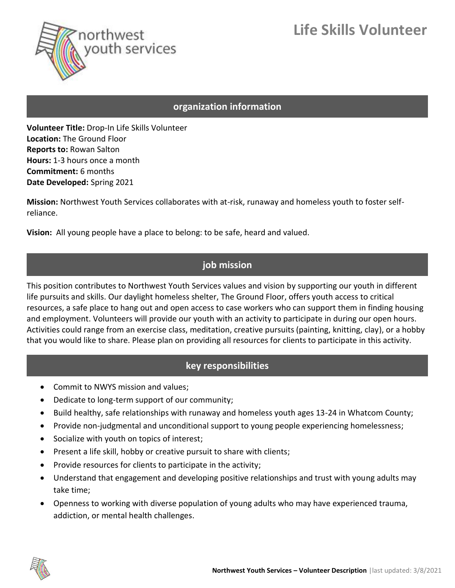# **Life Skills Volunteer**



#### **organization information**

**Volunteer Title:** Drop-In Life Skills Volunteer **Location:** The Ground Floor **Reports to:** Rowan Salton **Hours:** 1-3 hours once a month **Commitment:** 6 months **Date Developed:** Spring 2021

**Mission:** Northwest Youth Services collaborates with at-risk, runaway and homeless youth to foster selfreliance.

**Vision:** All young people have a place to belong: to be safe, heard and valued.

### **job mission**

This position contributes to Northwest Youth Services values and vision by supporting our youth in different life pursuits and skills. Our daylight homeless shelter, The Ground Floor, offers youth access to critical resources, a safe place to hang out and open access to case workers who can support them in finding housing and employment. Volunteers will provide our youth with an activity to participate in during our open hours. Activities could range from an exercise class, meditation, creative pursuits (painting, knitting, clay), or a hobby that you would like to share. Please plan on providing all resources for clients to participate in this activity.

## **key responsibilities**

- Commit to NWYS mission and values;
- Dedicate to long-term support of our community;
- Build healthy, safe relationships with runaway and homeless youth ages 13-24 in Whatcom County;
- Provide non-judgmental and unconditional support to young people experiencing homelessness;
- Socialize with youth on topics of interest;
- Present a life skill, hobby or creative pursuit to share with clients;
- Provide resources for clients to participate in the activity;
- Understand that engagement and developing positive relationships and trust with young adults may take time;
- Openness to working with diverse population of young adults who may have experienced trauma, addiction, or mental health challenges.